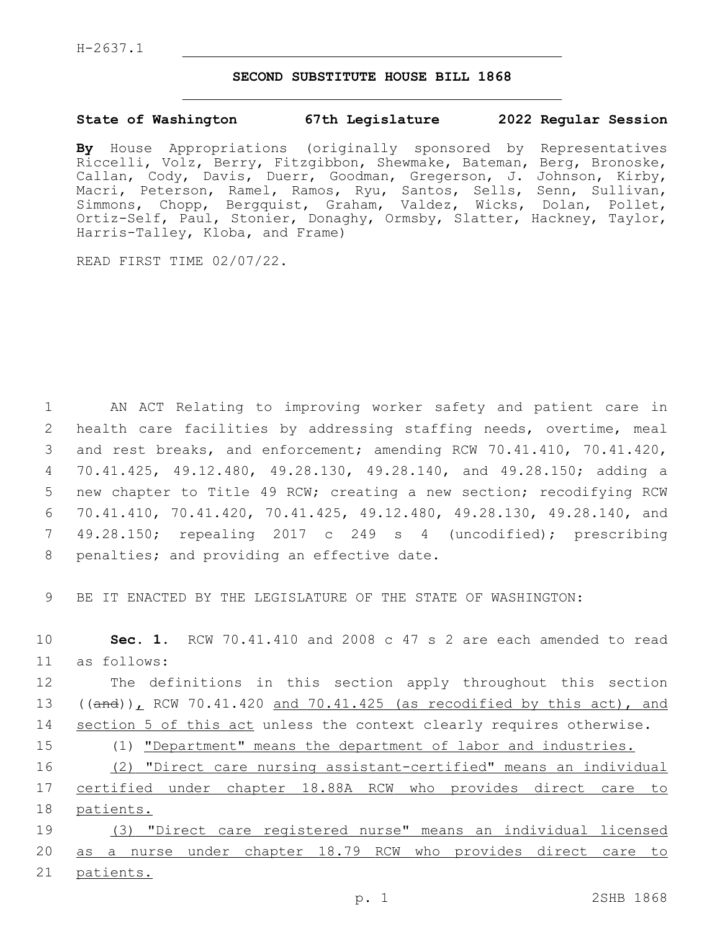## **SECOND SUBSTITUTE HOUSE BILL 1868**

## **State of Washington 67th Legislature 2022 Regular Session**

**By** House Appropriations (originally sponsored by Representatives Riccelli, Volz, Berry, Fitzgibbon, Shewmake, Bateman, Berg, Bronoske, Callan, Cody, Davis, Duerr, Goodman, Gregerson, J. Johnson, Kirby, Macri, Peterson, Ramel, Ramos, Ryu, Santos, Sells, Senn, Sullivan, Simmons, Chopp, Bergquist, Graham, Valdez, Wicks, Dolan, Pollet, Ortiz-Self, Paul, Stonier, Donaghy, Ormsby, Slatter, Hackney, Taylor, Harris-Talley, Kloba, and Frame)

READ FIRST TIME 02/07/22.

 AN ACT Relating to improving worker safety and patient care in health care facilities by addressing staffing needs, overtime, meal and rest breaks, and enforcement; amending RCW 70.41.410, 70.41.420, 70.41.425, 49.12.480, 49.28.130, 49.28.140, and 49.28.150; adding a new chapter to Title 49 RCW; creating a new section; recodifying RCW 70.41.410, 70.41.420, 70.41.425, 49.12.480, 49.28.130, 49.28.140, and 49.28.150; repealing 2017 c 249 s 4 (uncodified); prescribing 8 penalties; and providing an effective date.

9 BE IT ENACTED BY THE LEGISLATURE OF THE STATE OF WASHINGTON:

10 **Sec. 1.** RCW 70.41.410 and 2008 c 47 s 2 are each amended to read as follows:11

12 The definitions in this section apply throughout this section 13 ((and)), RCW 70.41.420 and 70.41.425 (as recodified by this act), and 14 section 5 of this act unless the context clearly requires otherwise.

15 (1) "Department" means the department of labor and industries.

16 (2) "Direct care nursing assistant-certified" means an individual 17 certified under chapter 18.88A RCW who provides direct care to 18 patients.

19 (3) "Direct care registered nurse" means an individual licensed 20 as a nurse under chapter 18.79 RCW who provides direct care to 21 patients.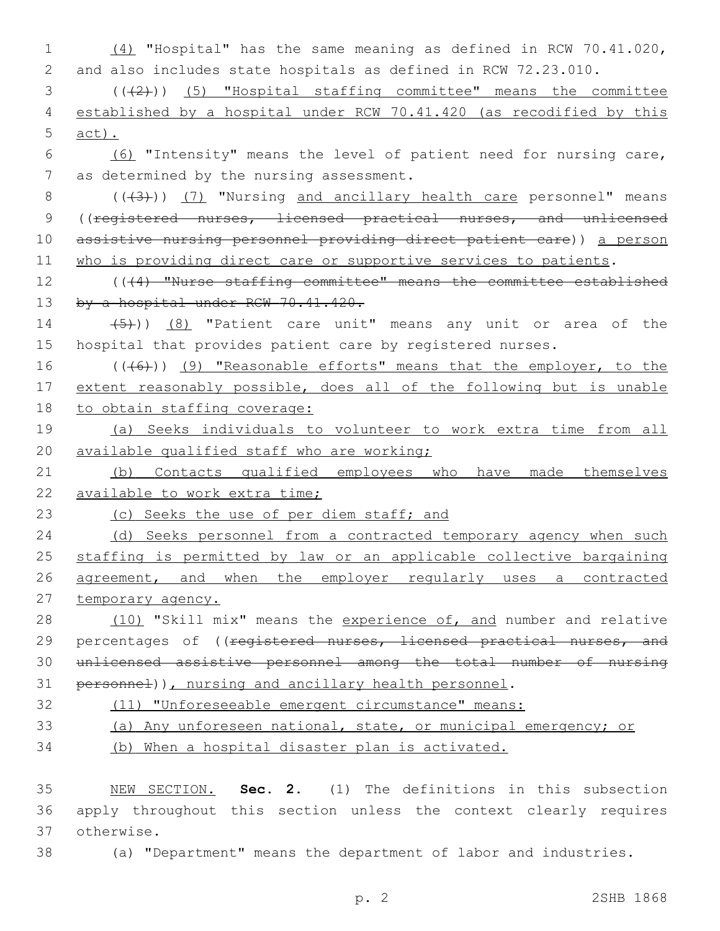| $\mathbf 1$    | $(4)$ "Hospital" has the same meaning as defined in RCW 70.41.020,                            |
|----------------|-----------------------------------------------------------------------------------------------|
| 2              | and also includes state hospitals as defined in RCW 72.23.010.                                |
| 3              | $((+2+))$ (5) "Hospital staffing committee" means the committee                               |
| $\overline{4}$ | established by a hospital under RCW 70.41.420 (as recodified by this                          |
| 5              | $act)$ .                                                                                      |
| 6              | (6) "Intensity" means the level of patient need for nursing care,                             |
| 7              | as determined by the nursing assessment.                                                      |
| 8              | $((+3))$ (7) "Nursing and ancillary health care personnel" means                              |
| $\mathsf 9$    | ((registered nurses, licensed practical nurses, and unlicensed                                |
| 10             | assistive nursing personnel providing direct patient care)) a person                          |
| 11             | who is providing direct care or supportive services to patients.                              |
| 12             | $($ $($ $($ $\left\{4\right\}$ $)$ "Nurse staffing committee" means the committee established |
| 13             | by a hospital under RCW 70.41.420.                                                            |
| 14             | $(5)$ ) (8) "Patient care unit" means any unit or area of the                                 |
| 15             | hospital that provides patient care by registered nurses.                                     |
| 16             | $((+6))$ (9) "Reasonable efforts" means that the employer, to the                             |
| 17             | extent reasonably possible, does all of the following but is unable                           |
| 18             | to obtain staffing coverage:                                                                  |
| 19             | (a) Seeks individuals to volunteer to work extra time from all                                |
| 20             | available qualified staff who are working;                                                    |
| 21             | (b) Contacts qualified employees who have made themselves                                     |
| 22             | available to work extra time;                                                                 |
| 23             | (c) Seeks the use of per diem staff; and                                                      |
| 24             | (d) Seeks personnel from a contracted temporary agency when such                              |
| 25             | staffing is permitted by law or an applicable collective bargaining                           |
| 26             | agreement, and when the employer regularly uses a contracted                                  |
| 27             | temporary agency.                                                                             |
| 28             | (10) "Skill mix" means the experience of, and number and relative                             |
| 29             | percentages of ((registered nurses, licensed practical nurses, and                            |
| 30             | unlicensed assistive personnel among the total number of nursing                              |
| 31             | personnel)), nursing and ancillary health personnel.                                          |
| 32             | (11) "Unforeseeable emergent circumstance" means:                                             |

- 33 (a) Any unforeseen national, state, or municipal emergency; or
- 34 (b) When a hospital disaster plan is activated.

35 NEW SECTION. **Sec. 2.** (1) The definitions in this subsection 36 apply throughout this section unless the context clearly requires 37 otherwise.

38 (a) "Department" means the department of labor and industries.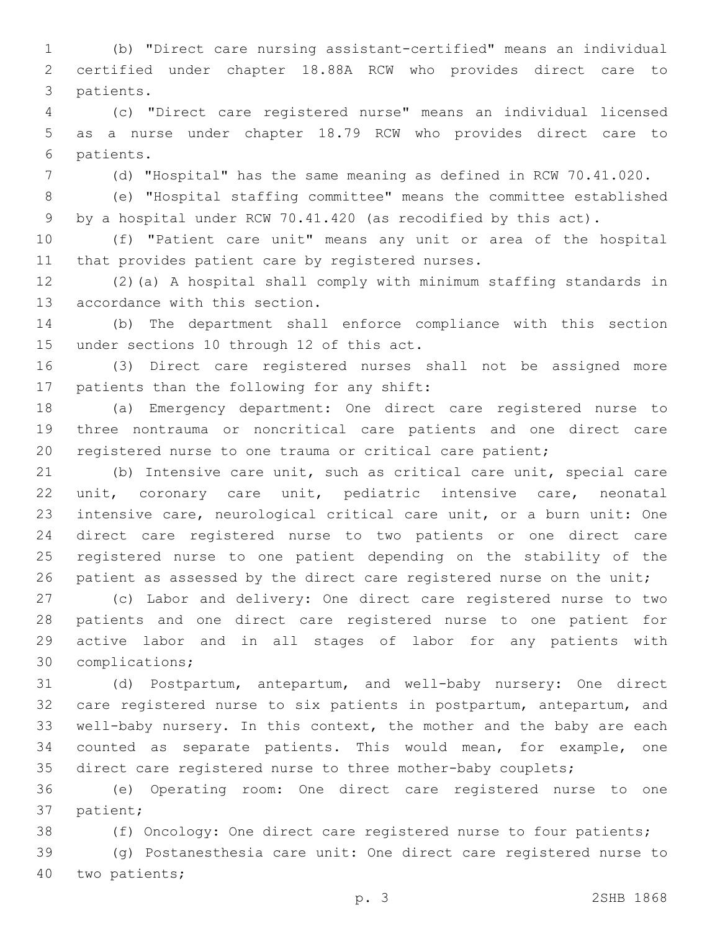(b) "Direct care nursing assistant-certified" means an individual certified under chapter 18.88A RCW who provides direct care to 3 patients.

 (c) "Direct care registered nurse" means an individual licensed as a nurse under chapter 18.79 RCW who provides direct care to 6 patients.

(d) "Hospital" has the same meaning as defined in RCW 70.41.020.

 (e) "Hospital staffing committee" means the committee established by a hospital under RCW 70.41.420 (as recodified by this act).

 (f) "Patient care unit" means any unit or area of the hospital 11 that provides patient care by registered nurses.

 (2)(a) A hospital shall comply with minimum staffing standards in 13 accordance with this section.

 (b) The department shall enforce compliance with this section 15 under sections 10 through 12 of this act.

 (3) Direct care registered nurses shall not be assigned more 17 patients than the following for any shift:

 (a) Emergency department: One direct care registered nurse to three nontrauma or noncritical care patients and one direct care registered nurse to one trauma or critical care patient;

 (b) Intensive care unit, such as critical care unit, special care unit, coronary care unit, pediatric intensive care, neonatal intensive care, neurological critical care unit, or a burn unit: One direct care registered nurse to two patients or one direct care registered nurse to one patient depending on the stability of the 26 patient as assessed by the direct care registered nurse on the unit;

 (c) Labor and delivery: One direct care registered nurse to two patients and one direct care registered nurse to one patient for active labor and in all stages of labor for any patients with 30 complications;

 (d) Postpartum, antepartum, and well-baby nursery: One direct care registered nurse to six patients in postpartum, antepartum, and well-baby nursery. In this context, the mother and the baby are each counted as separate patients. This would mean, for example, one direct care registered nurse to three mother-baby couplets;

 (e) Operating room: One direct care registered nurse to one 37 patient;

(f) Oncology: One direct care registered nurse to four patients;

 (g) Postanesthesia care unit: One direct care registered nurse to 40 two patients;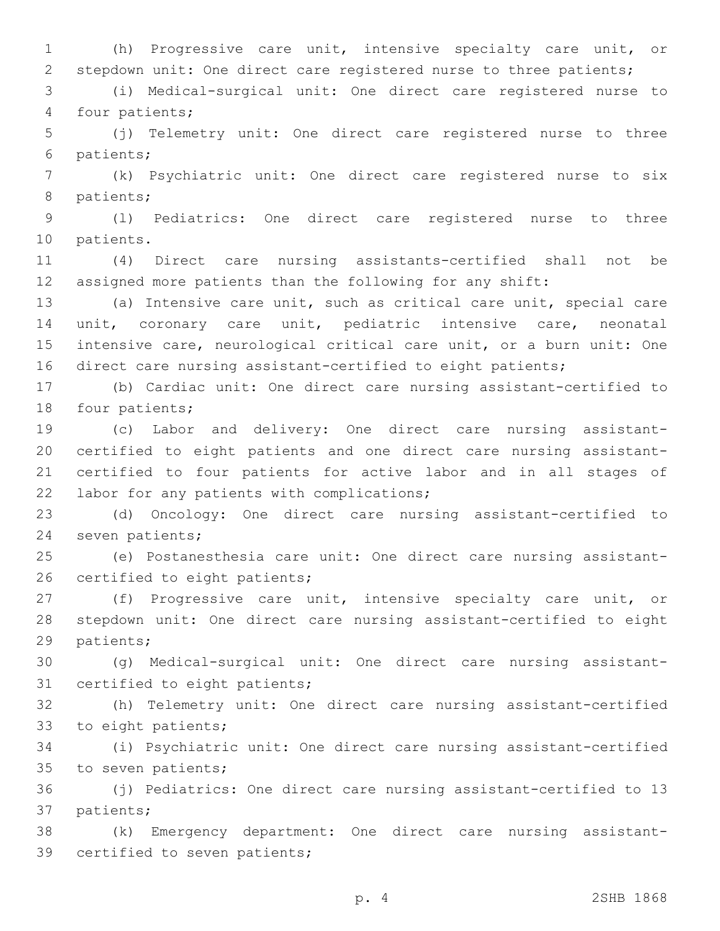(h) Progressive care unit, intensive specialty care unit, or stepdown unit: One direct care registered nurse to three patients;

 (i) Medical-surgical unit: One direct care registered nurse to 4 four patients;

 (j) Telemetry unit: One direct care registered nurse to three 6 patients;

 (k) Psychiatric unit: One direct care registered nurse to six 8 patients;

 (l) Pediatrics: One direct care registered nurse to three 10 patients.

 (4) Direct care nursing assistants-certified shall not be assigned more patients than the following for any shift:

 (a) Intensive care unit, such as critical care unit, special care unit, coronary care unit, pediatric intensive care, neonatal intensive care, neurological critical care unit, or a burn unit: One direct care nursing assistant-certified to eight patients;

 (b) Cardiac unit: One direct care nursing assistant-certified to 18 four patients;

 (c) Labor and delivery: One direct care nursing assistant- certified to eight patients and one direct care nursing assistant- certified to four patients for active labor and in all stages of 22 labor for any patients with complications;

 (d) Oncology: One direct care nursing assistant-certified to 24 seven patients;

 (e) Postanesthesia care unit: One direct care nursing assistant-26 certified to eight patients;

 (f) Progressive care unit, intensive specialty care unit, or stepdown unit: One direct care nursing assistant-certified to eight 29 patients;

 (g) Medical-surgical unit: One direct care nursing assistant-31 certified to eight patients;

 (h) Telemetry unit: One direct care nursing assistant-certified 33 to eight patients;

 (i) Psychiatric unit: One direct care nursing assistant-certified 35 to seven patients;

 (j) Pediatrics: One direct care nursing assistant-certified to 13 37 patients;

 (k) Emergency department: One direct care nursing assistant-39 certified to seven patients;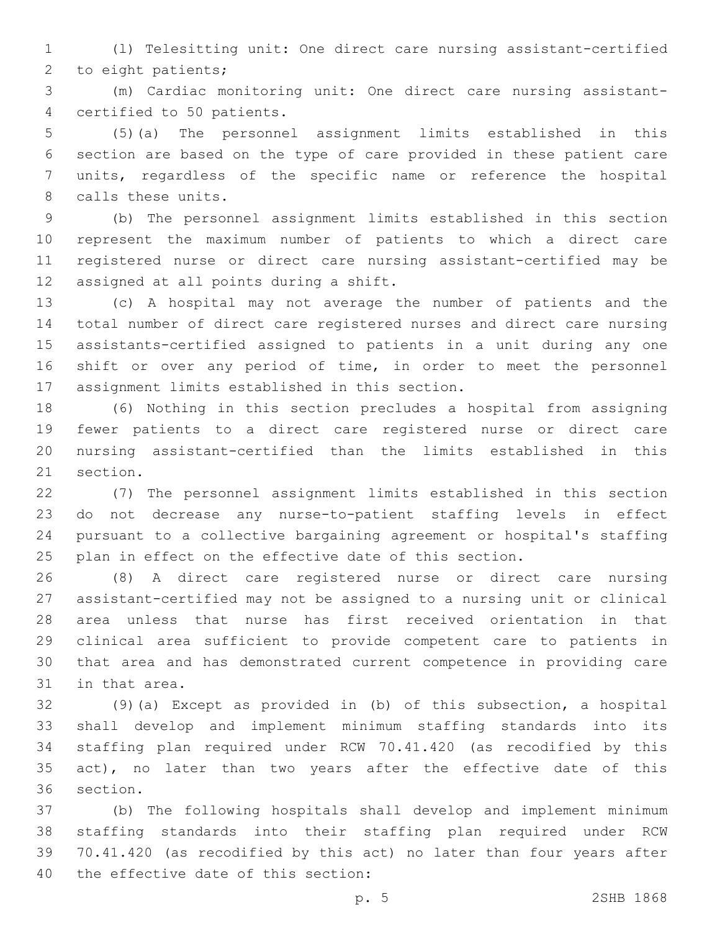(l) Telesitting unit: One direct care nursing assistant-certified 2 to eight patients;

 (m) Cardiac monitoring unit: One direct care nursing assistant-4 certified to 50 patients.

 (5)(a) The personnel assignment limits established in this section are based on the type of care provided in these patient care units, regardless of the specific name or reference the hospital 8 calls these units.

 (b) The personnel assignment limits established in this section represent the maximum number of patients to which a direct care registered nurse or direct care nursing assistant-certified may be 12 assigned at all points during a shift.

 (c) A hospital may not average the number of patients and the total number of direct care registered nurses and direct care nursing assistants-certified assigned to patients in a unit during any one shift or over any period of time, in order to meet the personnel 17 assignment limits established in this section.

 (6) Nothing in this section precludes a hospital from assigning fewer patients to a direct care registered nurse or direct care nursing assistant-certified than the limits established in this 21 section.

 (7) The personnel assignment limits established in this section do not decrease any nurse-to-patient staffing levels in effect pursuant to a collective bargaining agreement or hospital's staffing plan in effect on the effective date of this section.

 (8) A direct care registered nurse or direct care nursing assistant-certified may not be assigned to a nursing unit or clinical area unless that nurse has first received orientation in that clinical area sufficient to provide competent care to patients in that area and has demonstrated current competence in providing care 31 in that area.

 (9)(a) Except as provided in (b) of this subsection, a hospital shall develop and implement minimum staffing standards into its staffing plan required under RCW 70.41.420 (as recodified by this 35 act), no later than two years after the effective date of this 36 section.

 (b) The following hospitals shall develop and implement minimum staffing standards into their staffing plan required under RCW 70.41.420 (as recodified by this act) no later than four years after 40 the effective date of this section: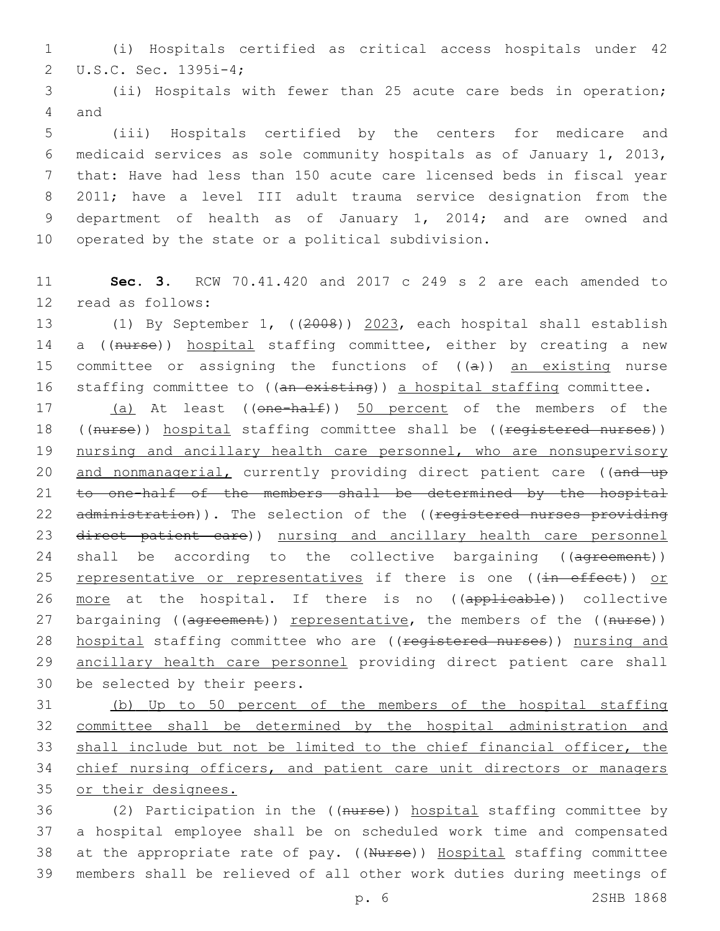1 (i) Hospitals certified as critical access hospitals under 42 U.S.C. Sec. 1395i-4;2

3 (ii) Hospitals with fewer than 25 acute care beds in operation; 4 and

 (iii) Hospitals certified by the centers for medicare and medicaid services as sole community hospitals as of January 1, 2013, that: Have had less than 150 acute care licensed beds in fiscal year 2011; have a level III adult trauma service designation from the department of health as of January 1, 2014; and are owned and 10 operated by the state or a political subdivision.

11 **Sec. 3.** RCW 70.41.420 and 2017 c 249 s 2 are each amended to 12 read as follows:

13 (1) By September 1, ((2008)) 2023, each hospital shall establish 14 a ((nurse)) hospital staffing committee, either by creating a new 15 committee or assigning the functions of  $((a))$  an existing nurse 16 staffing committee to ((an existing)) a hospital staffing committee.

17 (a) At least ((one-half)) 50 percent of the members of the 18 ((nurse)) hospital staffing committee shall be ((registered nurses)) 19 nursing and ancillary health care personnel, who are nonsupervisory 20 and nonmanagerial, currently providing direct patient care ((and up 21 to one-half of the members shall be determined by the hospital 22 administration)). The selection of the ((registered nurses providing 23 direct patient care)) nursing and ancillary health care personnel 24 shall be according to the collective bargaining ((agreement)) 25 representative or representatives if there is one ((in effect)) or 26 more at the hospital. If there is no ((applicable)) collective 27 bargaining ((agreement)) representative, the members of the ((nurse)) 28 hospital staffing committee who are ((registered nurses)) nursing and 29 ancillary health care personnel providing direct patient care shall 30 be selected by their peers.

 (b) Up to 50 percent of the members of the hospital staffing committee shall be determined by the hospital administration and shall include but not be limited to the chief financial officer, the chief nursing officers, and patient care unit directors or managers or their designees.

 (2) Participation in the ((nurse)) hospital staffing committee by a hospital employee shall be on scheduled work time and compensated 38 at the appropriate rate of pay. ((Nurse)) Hospital staffing committee members shall be relieved of all other work duties during meetings of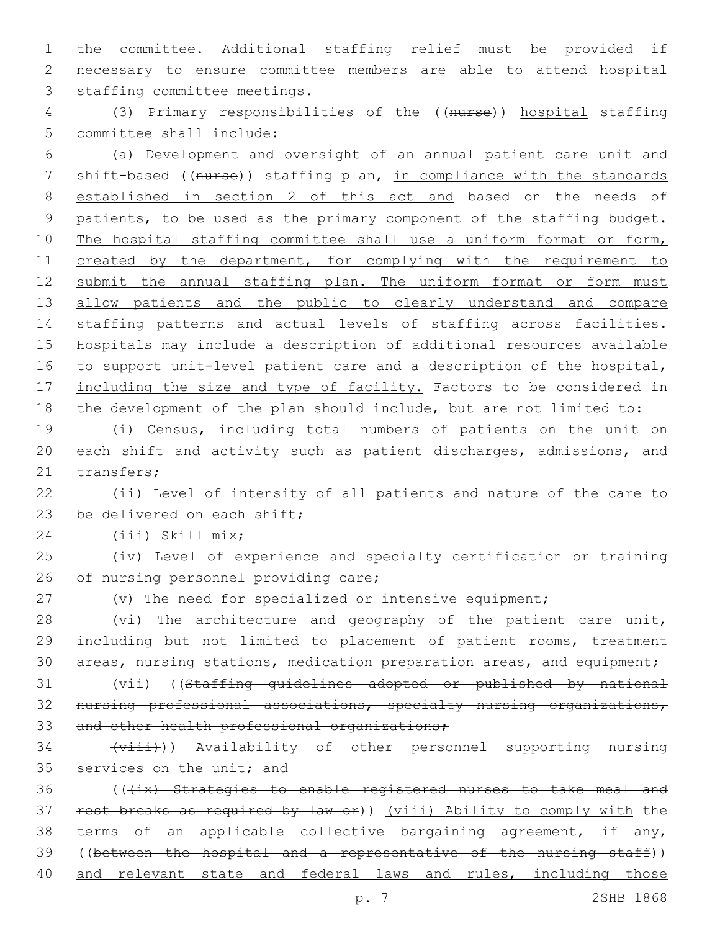1 the committee. Additional staffing relief must be provided if 2 necessary to ensure committee members are able to attend hospital 3 staffing committee meetings.

4 (3) Primary responsibilities of the ((nurse)) hospital staffing 5 committee shall include:

6 (a) Development and oversight of an annual patient care unit and 7 shift-based ((nurse)) staffing plan, in compliance with the standards 8 established in section 2 of this act and based on the needs of 9 patients, to be used as the primary component of the staffing budget. 10 The hospital staffing committee shall use a uniform format or form, 11 created by the department, for complying with the requirement to 12 submit the annual staffing plan. The uniform format or form must 13 allow patients and the public to clearly understand and compare 14 staffing patterns and actual levels of staffing across facilities. 15 Hospitals may include a description of additional resources available 16 to support unit-level patient care and a description of the hospital, 17 including the size and type of facility. Factors to be considered in 18 the development of the plan should include, but are not limited to:

19 (i) Census, including total numbers of patients on the unit on 20 each shift and activity such as patient discharges, admissions, and 21 transfers;

22 (ii) Level of intensity of all patients and nature of the care to 23 be delivered on each shift;

(iii) Skill mix;24

25 (iv) Level of experience and specialty certification or training 26 of nursing personnel providing care;

27 (v) The need for specialized or intensive equipment;

28 (vi) The architecture and geography of the patient care unit, 29 including but not limited to placement of patient rooms, treatment 30 areas, nursing stations, medication preparation areas, and equipment;

31 (vii) ((Staffing guidelines adopted or published by national 32 nursing professional associations, specialty nursing organizations, 33 and other health professional organizations;

34 (viii)) Availability of other personnel supporting nursing 35 services on the unit; and

36 (((ix) Strategies to enable registered nurses to take meal and 37 rest breaks as required by law or)) (viii) Ability to comply with the 38 terms of an applicable collective bargaining agreement, if any, 39 ((between the hospital and a representative of the nursing staff)) 40 and relevant state and federal laws and rules, including those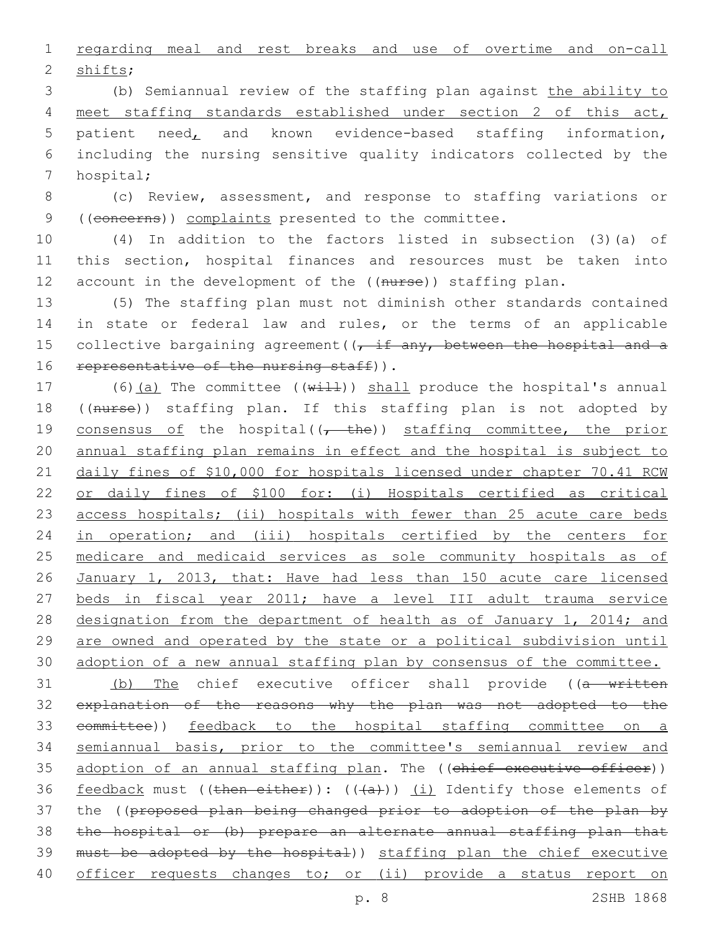1 regarding meal and rest breaks and use of overtime and on-call 2 shifts;

 (b) Semiannual review of the staffing plan against the ability to meet staffing standards established under section 2 of this act, patient need, and known evidence-based staffing information, including the nursing sensitive quality indicators collected by the 7 hospital;

8 (c) Review, assessment, and response to staffing variations or 9 ((concerns)) complaints presented to the committee.

10 (4) In addition to the factors listed in subsection (3)(a) of 11 this section, hospital finances and resources must be taken into 12 account in the development of the ((nurse)) staffing plan.

13 (5) The staffing plan must not diminish other standards contained 14 in state or federal law and rules, or the terms of an applicable 15 collective bargaining agreement  $((t, \text{if any, between the hospital and a})$ 16 representative of the nursing staff)).

17 (6)(a) The committee (( $w\text{+11}$ )) shall produce the hospital's annual 18 ((nurse)) staffing plan. If this staffing plan is not adopted by 19 consensus of the hospital( $(-$  the)) staffing committee, the prior 20 annual staffing plan remains in effect and the hospital is subject to 21 daily fines of \$10,000 for hospitals licensed under chapter 70.41 RCW 22 or daily fines of \$100 for: (i) Hospitals certified as critical 23 access hospitals; (ii) hospitals with fewer than 25 acute care beds 24 in operation; and (iii) hospitals certified by the centers for 25 medicare and medicaid services as sole community hospitals as of 26 January 1, 2013, that: Have had less than 150 acute care licensed 27 beds in fiscal year 2011; have a level III adult trauma service 28 designation from the department of health as of January 1, 2014; and 29 are owned and operated by the state or a political subdivision until 30 adoption of a new annual staffing plan by consensus of the committee.

31 (b) The chief executive officer shall provide ((a written 32 explanation of the reasons why the plan was not adopted to the 33 committee)) feedback to the hospital staffing committee on a 34 semiannual basis, prior to the committee's semiannual review and 35 adoption of an annual staffing plan. The ((chief executive officer)) 36 feedback must ((then either)):  $((+a+))$  (i) Identify those elements of 37 the ((proposed plan being changed prior to adoption of the plan by 38 the hospital or (b) prepare an alternate annual staffing plan that 39 must be adopted by the hospital)) staffing plan the chief executive 40 officer requests changes to; or (ii) provide a status report on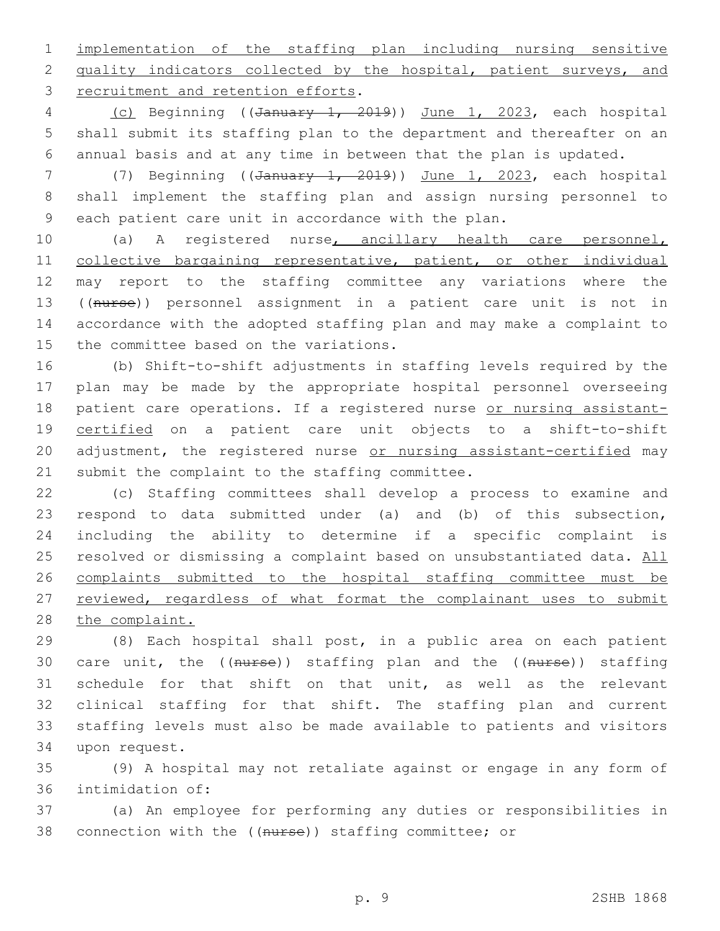1 implementation of the staffing plan including nursing sensitive 2 quality indicators collected by the hospital, patient surveys, and 3 recruitment and retention efforts.

4 (c) Beginning ((January 1, 2019)) June 1, 2023, each hospital 5 shall submit its staffing plan to the department and thereafter on an 6 annual basis and at any time in between that the plan is updated.

7 (7) Beginning ((January 1, 2019)) June 1, 2023, each hospital 8 shall implement the staffing plan and assign nursing personnel to 9 each patient care unit in accordance with the plan.

 (a) A registered nurse, ancillary health care personnel, 11 collective bargaining representative, patient, or other individual may report to the staffing committee any variations where the ((nurse)) personnel assignment in a patient care unit is not in accordance with the adopted staffing plan and may make a complaint to 15 the committee based on the variations.

16 (b) Shift-to-shift adjustments in staffing levels required by the 17 plan may be made by the appropriate hospital personnel overseeing 18 patient care operations. If a registered nurse or nursing assistant-19 certified on a patient care unit objects to a shift-to-shift 20 adjustment, the registered nurse or nursing assistant-certified may 21 submit the complaint to the staffing committee.

22 (c) Staffing committees shall develop a process to examine and 23 respond to data submitted under (a) and (b) of this subsection, 24 including the ability to determine if a specific complaint is 25 resolved or dismissing a complaint based on unsubstantiated data. All 26 complaints submitted to the hospital staffing committee must be 27 reviewed, regardless of what format the complainant uses to submit 28 the complaint.

 (8) Each hospital shall post, in a public area on each patient 30 care unit, the ((nurse)) staffing plan and the ((nurse)) staffing schedule for that shift on that unit, as well as the relevant clinical staffing for that shift. The staffing plan and current staffing levels must also be made available to patients and visitors 34 upon request.

35 (9) A hospital may not retaliate against or engage in any form of 36 intimidation of:

37 (a) An employee for performing any duties or responsibilities in 38 connection with the ((nurse)) staffing committee; or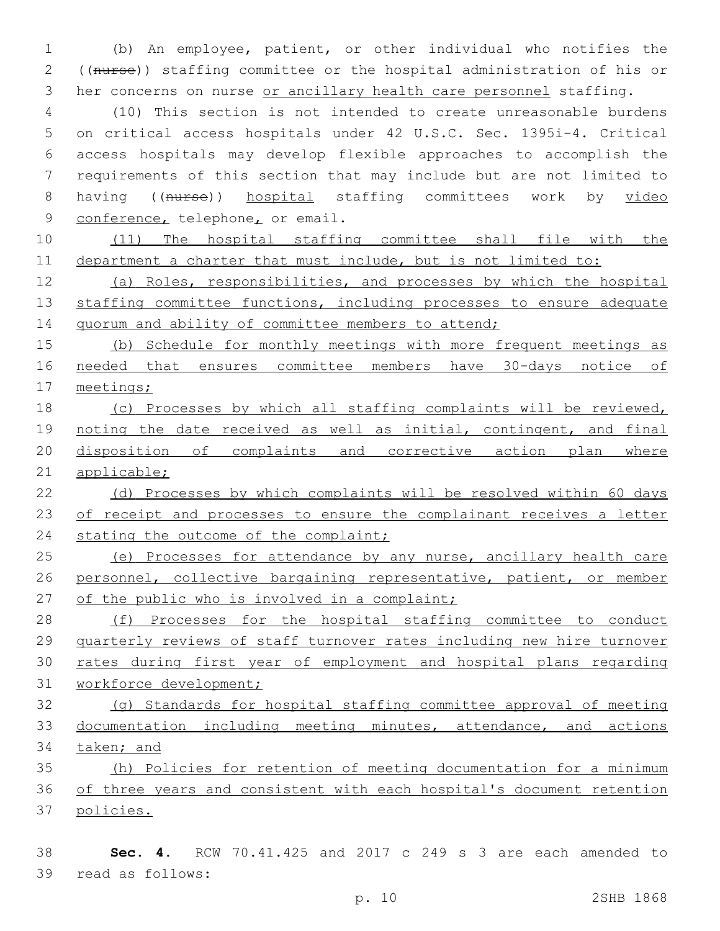(b) An employee, patient, or other individual who notifies the ((nurse)) staffing committee or the hospital administration of his or 3 her concerns on nurse or ancillary health care personnel staffing.

 (10) This section is not intended to create unreasonable burdens on critical access hospitals under 42 U.S.C. Sec. 1395i-4. Critical access hospitals may develop flexible approaches to accomplish the requirements of this section that may include but are not limited to 8 having ((nurse)) hospital staffing committees work by video 9 conference, telephone, or email.

 (11) The hospital staffing committee shall file with the department a charter that must include, but is not limited to:

 (a) Roles, responsibilities, and processes by which the hospital 13 staffing committee functions, including processes to ensure adequate 14 quorum and ability of committee members to attend;

 (b) Schedule for monthly meetings with more frequent meetings as needed that ensures committee members have 30-days notice of meetings;

 (c) Processes by which all staffing complaints will be reviewed, 19 noting the date received as well as initial, contingent, and final disposition of complaints and corrective action plan where applicable;

 (d) Processes by which complaints will be resolved within 60 days 23 of receipt and processes to ensure the complainant receives a letter 24 stating the outcome of the complaint;

25 (e) Processes for attendance by any nurse, ancillary health care personnel, collective bargaining representative, patient, or member 27 of the public who is involved in a complaint;

28 (f) Processes for the hospital staffing committee to conduct quarterly reviews of staff turnover rates including new hire turnover rates during first year of employment and hospital plans regarding workforce development;

 (g) Standards for hospital staffing committee approval of meeting documentation including meeting minutes, attendance, and actions taken; and

 (h) Policies for retention of meeting documentation for a minimum of three years and consistent with each hospital's document retention policies.

 **Sec. 4.** RCW 70.41.425 and 2017 c 249 s 3 are each amended to 39 read as follows: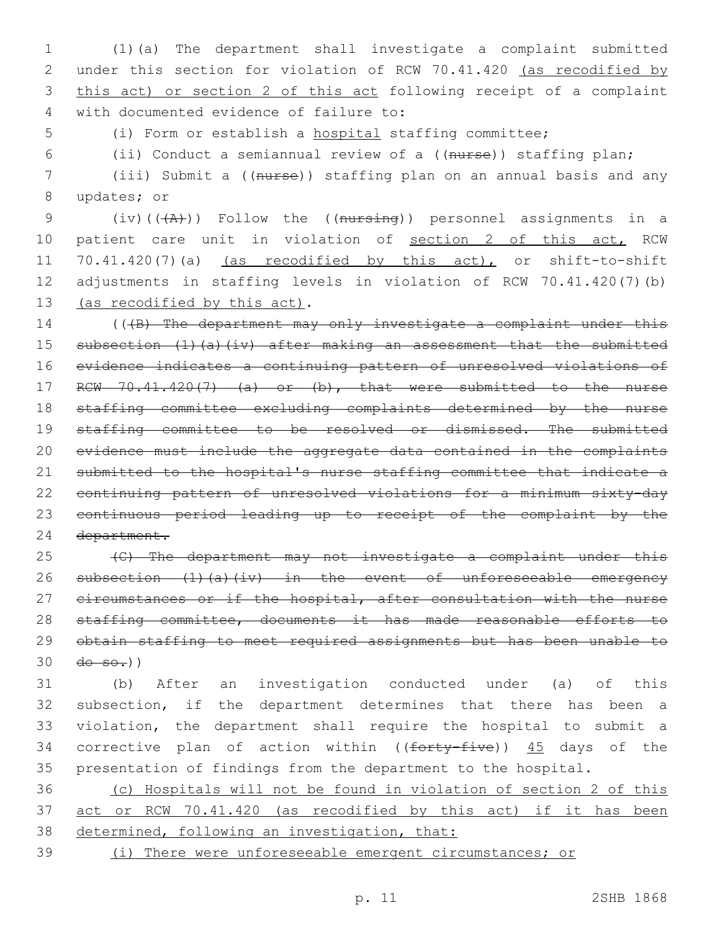(1)(a) The department shall investigate a complaint submitted under this section for violation of RCW 70.41.420 (as recodified by this act) or section 2 of this act following receipt of a complaint with documented evidence of failure to:4

(i) Form or establish a hospital staffing committee;

(ii) Conduct a semiannual review of a ((nurse)) staffing plan;

 (iii) Submit a ((nurse)) staffing plan on an annual basis and any 8 updates; or

9 (iv)( $(\overline{A})$ )) Follow the ((nursing)) personnel assignments in a 10 patient care unit in violation of section 2 of this act, RCW 70.41.420(7)(a) (as recodified by this act), or shift-to-shift adjustments in staffing levels in violation of RCW 70.41.420(7)(b) 13 (as recodified by this act).

14 (((B) The department may only investigate a complaint under this subsection (1)(a)(iv) after making an assessment that the submitted evidence indicates a continuing pattern of unresolved violations of 17 RCW 70.41.420(7) (a) or (b), that were submitted to the nurse staffing committee excluding complaints determined by the nurse 19 staffing committee to be resolved or dismissed. The submitted evidence must include the aggregate data contained in the complaints submitted to the hospital's nurse staffing committee that indicate a continuing pattern of unresolved violations for a minimum sixty-day continuous period leading up to receipt of the complaint by the department.

 (C) The department may not investigate a complaint under this 26 subsection (1)(a)(iv) in the event of unforeseeable emergency 27 circumstances or if the hospital, after consultation with the nurse 28 staffing committee, documents it has made reasonable efforts to obtain staffing to meet required assignments but has been unable to  $30 \frac{d\theta - \theta - \theta}{l}$ 

 (b) After an investigation conducted under (a) of this subsection, if the department determines that there has been a violation, the department shall require the hospital to submit a 34 corrective plan of action within ((forty-five)) 45 days of the presentation of findings from the department to the hospital.

 (c) Hospitals will not be found in violation of section 2 of this act or RCW 70.41.420 (as recodified by this act) if it has been 38 determined, following an investigation, that:

(i) There were unforeseeable emergent circumstances; or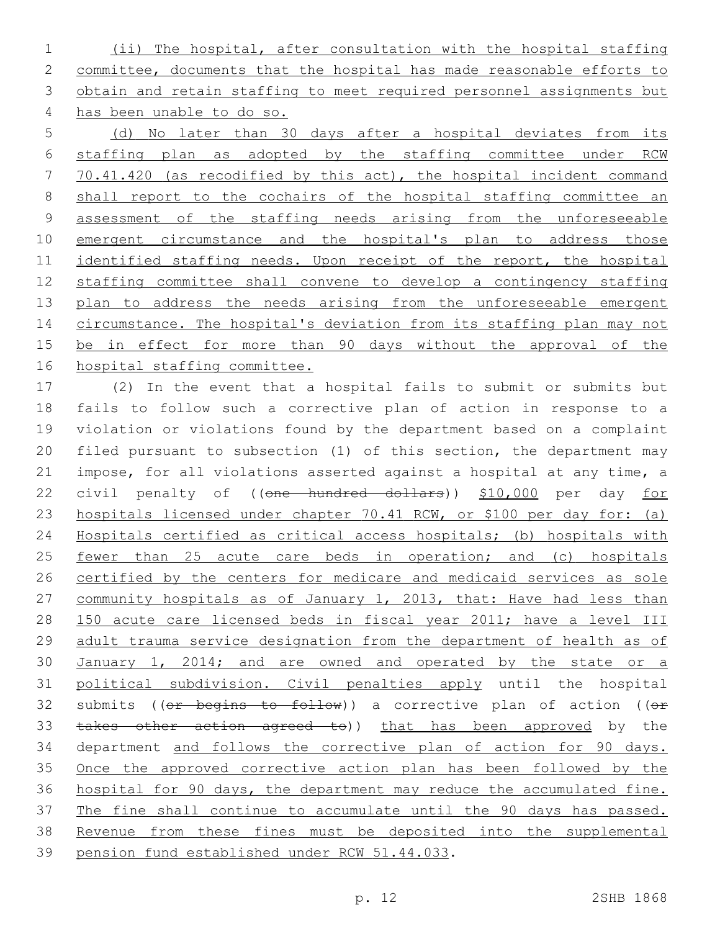(ii) The hospital, after consultation with the hospital staffing committee, documents that the hospital has made reasonable efforts to obtain and retain staffing to meet required personnel assignments but has been unable to do so.

 (d) No later than 30 days after a hospital deviates from its staffing plan as adopted by the staffing committee under RCW 70.41.420 (as recodified by this act), the hospital incident command shall report to the cochairs of the hospital staffing committee an assessment of the staffing needs arising from the unforeseeable emergent circumstance and the hospital's plan to address those identified staffing needs. Upon receipt of the report, the hospital staffing committee shall convene to develop a contingency staffing 13 plan to address the needs arising from the unforeseeable emergent 14 circumstance. The hospital's deviation from its staffing plan may not 15 be in effect for more than 90 days without the approval of the hospital staffing committee.

 (2) In the event that a hospital fails to submit or submits but fails to follow such a corrective plan of action in response to a violation or violations found by the department based on a complaint filed pursuant to subsection (1) of this section, the department may impose, for all violations asserted against a hospital at any time, a 22 civil penalty of ((one hundred dollars)) \$10,000 per day for hospitals licensed under chapter 70.41 RCW, or \$100 per day for: (a) Hospitals certified as critical access hospitals; (b) hospitals with 25 <u>fewer than 25 acute care beds in operation; and (c) hospitals</u> 26 certified by the centers for medicare and medicaid services as sole 27 community hospitals as of January 1, 2013, that: Have had less than 150 acute care licensed beds in fiscal year 2011; have a level III adult trauma service designation from the department of health as of 30 January 1, 2014; and are owned and operated by the state or a political subdivision. Civil penalties apply until the hospital 32 submits (( $e$ r begins to follow)) a corrective plan of action (( $e$ r 33 takes other action agreed to)) that has been approved by the department and follows the corrective plan of action for 90 days. Once the approved corrective action plan has been followed by the hospital for 90 days, the department may reduce the accumulated fine. The fine shall continue to accumulate until the 90 days has passed. Revenue from these fines must be deposited into the supplemental 39 pension fund established under RCW 51.44.033.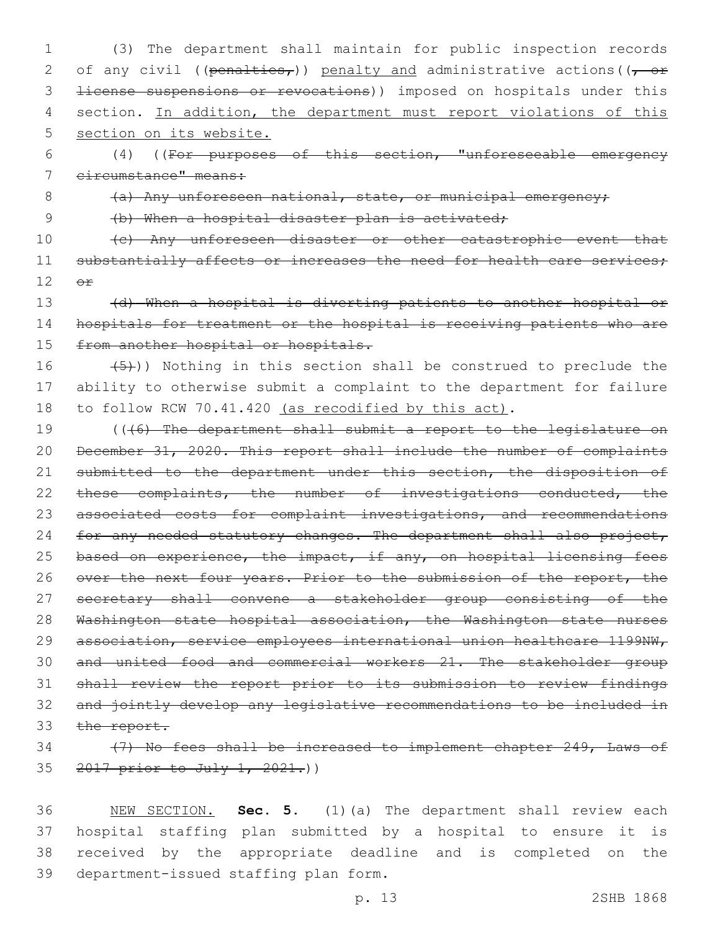1 (3) The department shall maintain for public inspection records 2 of any civil ((penalties,)) penalty and administrative actions ( $(-$  or 3 <del>license suspensions or revocations</del>)) imposed on hospitals under this 4 section. In addition, the department must report violations of this 5 section on its website.

6 (4) ((For purposes of this section, "unforeseeable emergency 7 circumstance" means:

8 (a) Any unforeseen national, state, or municipal emergency;

9 (b) When a hospital disaster plan is activated;

10 (c) Any unforeseen disaster or other catastrophic event that 11 substantially affects or increases the need for health care services;  $12$   $\Theta$  $\mathbf{f}$ 

13 (d) When a hospital is diverting patients to another hospital or 14 hospitals for treatment or the hospital is receiving patients who are 15 from another hospital or hospitals.

## 16  $(5)$ )) Nothing in this section shall be construed to preclude the 17 ability to otherwise submit a complaint to the department for failure 18 to follow RCW 70.41.420 (as recodified by this act).

19 (((6) The department shall submit a report to the legislature on 20 December 31, 2020. This report shall include the number of complaints 21 submitted to the department under this section, the disposition of 22 these complaints, the number of investigations conducted, the 23 associated costs for complaint investigations, and recommendations 24 for any needed statutory changes. The department shall also project, 25 based on experience, the impact, if any, on hospital licensing fees 26 over the next four years. Prior to the submission of the report, the 27 secretary shall convene a stakeholder group consisting of the 28 Washington state hospital association, the Washington state nurses 29 association, service employees international union healthcare 1199NW, 30 and united food and commercial workers 21. The stakeholder group 31 shall review the report prior to its submission to review findings 32 and jointly develop any legislative recommendations to be included in 33 the report.

## 34 (7) No fees shall be increased to implement chapter 249, Laws of 35 2017 prior to July 1, 2021.)

 NEW SECTION. **Sec. 5.** (1)(a) The department shall review each hospital staffing plan submitted by a hospital to ensure it is received by the appropriate deadline and is completed on the department-issued staffing plan form.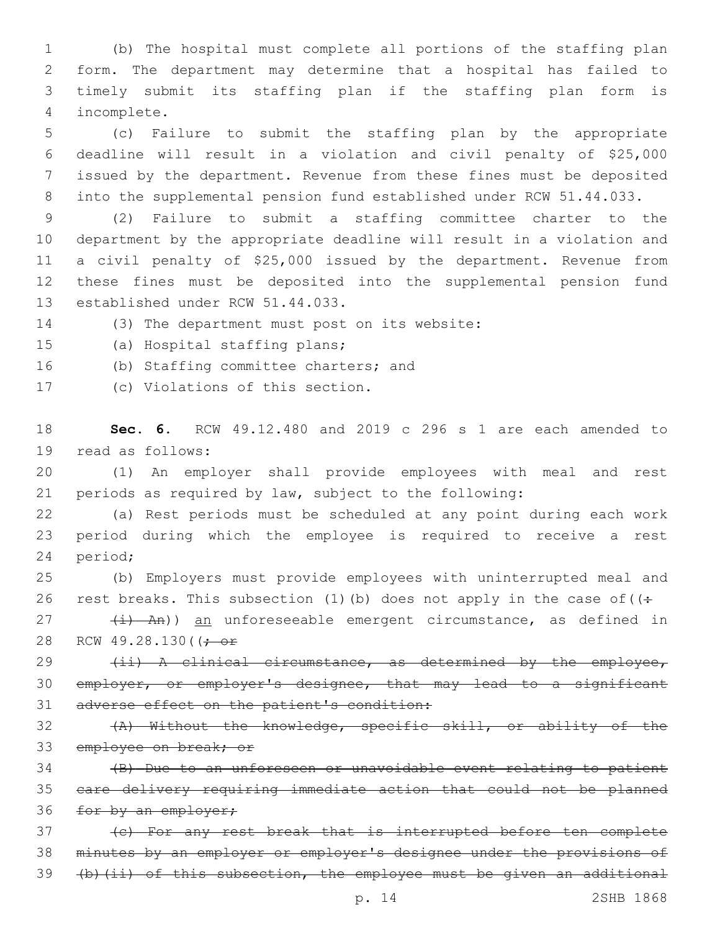(b) The hospital must complete all portions of the staffing plan form. The department may determine that a hospital has failed to timely submit its staffing plan if the staffing plan form is incomplete.4

 (c) Failure to submit the staffing plan by the appropriate deadline will result in a violation and civil penalty of \$25,000 issued by the department. Revenue from these fines must be deposited into the supplemental pension fund established under RCW 51.44.033.

 (2) Failure to submit a staffing committee charter to the department by the appropriate deadline will result in a violation and a civil penalty of \$25,000 issued by the department. Revenue from these fines must be deposited into the supplemental pension fund 13 established under RCW 51.44.033.

14 (3) The department must post on its website:

15 (a) Hospital staffing plans;

16 (b) Staffing committee charters; and

17 (c) Violations of this section.

18 **Sec. 6.** RCW 49.12.480 and 2019 c 296 s 1 are each amended to 19 read as follows:

20 (1) An employer shall provide employees with meal and rest 21 periods as required by law, subject to the following:

22 (a) Rest periods must be scheduled at any point during each work 23 period during which the employee is required to receive a rest 24 period;

25 (b) Employers must provide employees with uninterrupted meal and 26 rest breaks. This subsection (1)(b) does not apply in the case of  $($ .

27 (i) An)) an unforeseeable emergent circumstance, as defined in 28 RCW 49.28.130( $\left(\frac{1}{1}\right)$ 

29 (ii) A clinical circumstance, as determined by the employee, 30 employer, or employer's designee, that may lead to a significant 31 adverse effect on the patient's condition:

32 (A) Without the knowledge, specific skill, or ability of the 33 employee on break; or

34 (B) Due to an unforeseen or unavoidable event relating to patient 35 care delivery requiring immediate action that could not be planned 36 for by an employer;

37 (c) For any rest break that is interrupted before ten complete 38 minutes by an employer or employer's designee under the provisions of 39 (b)(ii) of this subsection, the employee must be given an additional

p. 14 2SHB 1868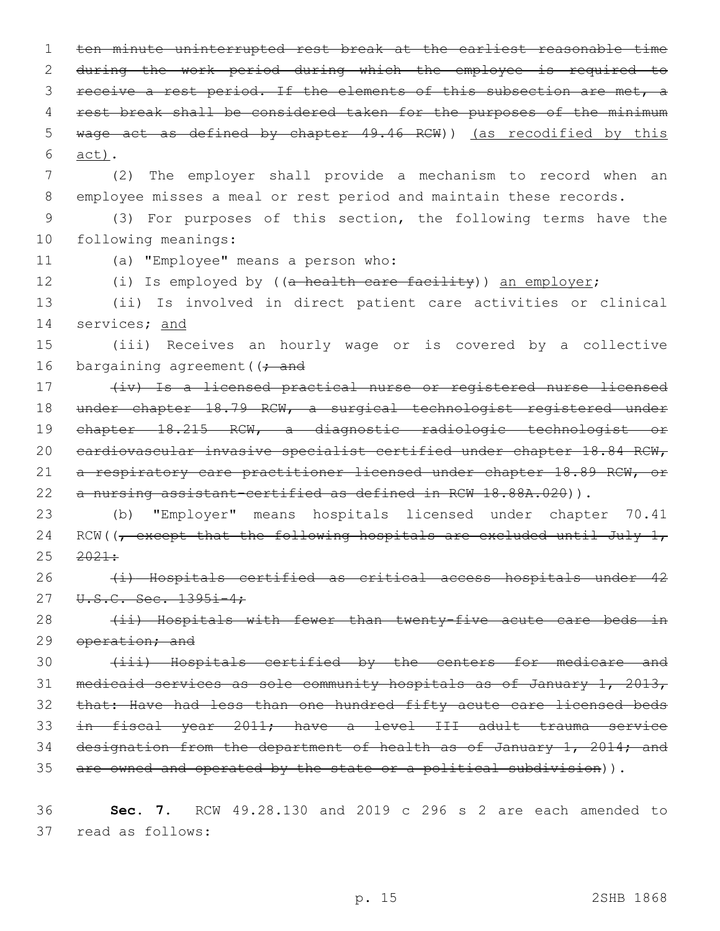1 ten minute uninterrupted rest break at the earliest reasonable time 2 during the work period during which the employee is required to 3 receive a rest period. If the elements of this subsection are met, a 4 rest break shall be considered taken for the purposes of the minimum 5 wage act as defined by chapter 49.46 RCW)) (as recodified by this act).6 7 (2) The employer shall provide a mechanism to record when an 8 employee misses a meal or rest period and maintain these records. 9 (3) For purposes of this section, the following terms have the 10 following meanings: 11 (a) "Employee" means a person who: 12 (i) Is employed by ((a health care facility)) an employer; 13 (ii) Is involved in direct patient care activities or clinical 14 services; and 15 (iii) Receives an hourly wage or is covered by a collective 16 bargaining agreement ( $\rightarrow$  and 17 (iv) Is a licensed practical nurse or registered nurse licensed 18 under chapter 18.79 RCW, a surgical technologist registered under 19 chapter 18.215 RCW, a diagnostic radiologic technologist or 20 cardiovascular invasive specialist certified under chapter 18.84 RCW, 21 a respiratory care practitioner licensed under chapter 18.89 RCW, or 22 a nursing assistant-certified as defined in RCW 18.88A.020)). 23 (b) "Employer" means hospitals licensed under chapter 70.41 24 RCW( $\sqrt{ }$  except that the following hospitals are excluded until July 1,  $25 \frac{2021}{1}$ 26 (i) Hospitals certified as critical access hospitals under 42 27 U.S.C. Sec. 1395i-4; 28 (ii) Hospitals with fewer than twenty-five acute care beds in 29 operation; and 30 (iii) Hospitals certified by the centers for medicare and 31 medicaid services as sole community hospitals as of January 1, 2013, 32 that: Have had less than one hundred fifty acute care licensed beds 33 in fiscal year 2011; have a level III adult trauma service 34 designation from the department of health as of January 1, 2014; and

35 are owned and operated by the state or a political subdivision)).

36 **Sec. 7.** RCW 49.28.130 and 2019 c 296 s 2 are each amended to 37 read as follows: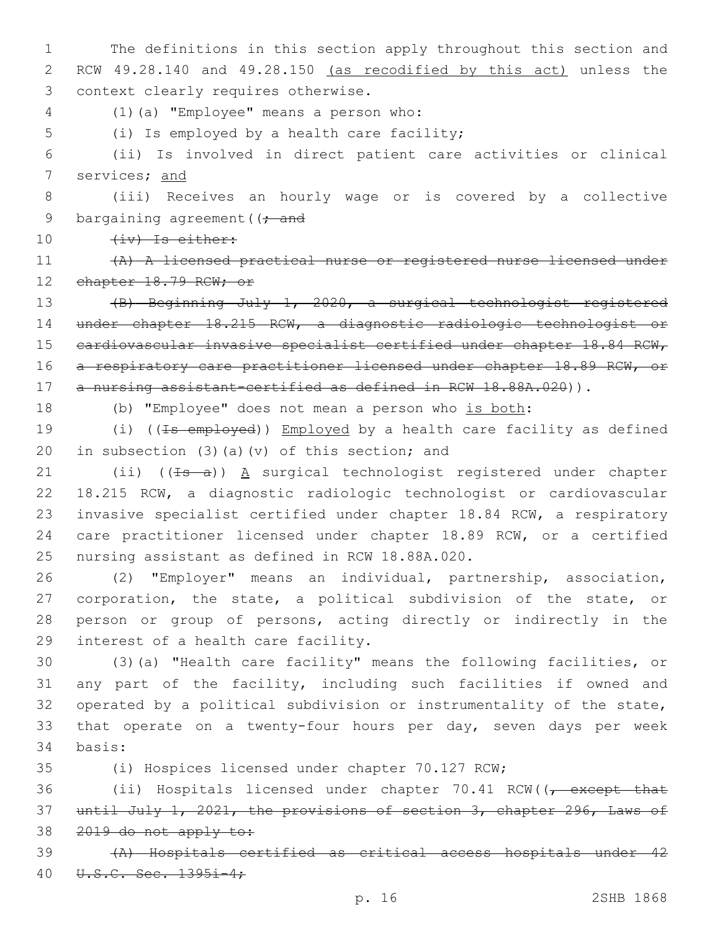1 The definitions in this section apply throughout this section and 2 RCW 49.28.140 and 49.28.150 (as recodified by this act) unless the 3 context clearly requires otherwise.

(1)(a) "Employee" means a person who:4

5 (i) Is employed by a health care facility;

6 (ii) Is involved in direct patient care activities or clinical 7 services; and

8 (iii) Receives an hourly wage or is covered by a collective 9 bargaining agreement ( $\rightarrow$  and

10 (iv) Is either:

11 (A) A licensed practical nurse or registered nurse licensed under 12 chapter 18.79 RCW; or

13 (B) Beginning July 1, 2020, a surgical technologist registered 14 under chapter 18.215 RCW, a diagnostic radiologic technologist or 15 cardiovascular invasive specialist certified under chapter 18.84 RCW, 16 a respiratory care practitioner licensed under chapter 18.89 RCW, or 17 a nursing assistant-certified as defined in RCW 18.88A.020)).

18 (b) "Employee" does not mean a person who is both:

19 (i) ((<del>Is employed</del>)) Employed by a health care facility as defined 20 in subsection (3)(a)(v) of this section; and

21 (ii)  $((\pm s - a))$  A surgical technologist registered under chapter 22 18.215 RCW, a diagnostic radiologic technologist or cardiovascular 23 invasive specialist certified under chapter 18.84 RCW, a respiratory 24 care practitioner licensed under chapter 18.89 RCW, or a certified 25 nursing assistant as defined in RCW 18.88A.020.

 (2) "Employer" means an individual, partnership, association, corporation, the state, a political subdivision of the state, or person or group of persons, acting directly or indirectly in the 29 interest of a health care facility.

30 (3)(a) "Health care facility" means the following facilities, or 31 any part of the facility, including such facilities if owned and 32 operated by a political subdivision or instrumentality of the state, 33 that operate on a twenty-four hours per day, seven days per week 34 basis:

35 (i) Hospices licensed under chapter 70.127 RCW;

36 (ii) Hospitals licensed under chapter 70.41 RCW((, except that 37 until July 1, 2021, the provisions of section 3, chapter 296, Laws of 38 2019 do not apply to:

39 (A) Hospitals certified as critical access hospitals under 42 40 U.S.C. Sec. 1395i-4;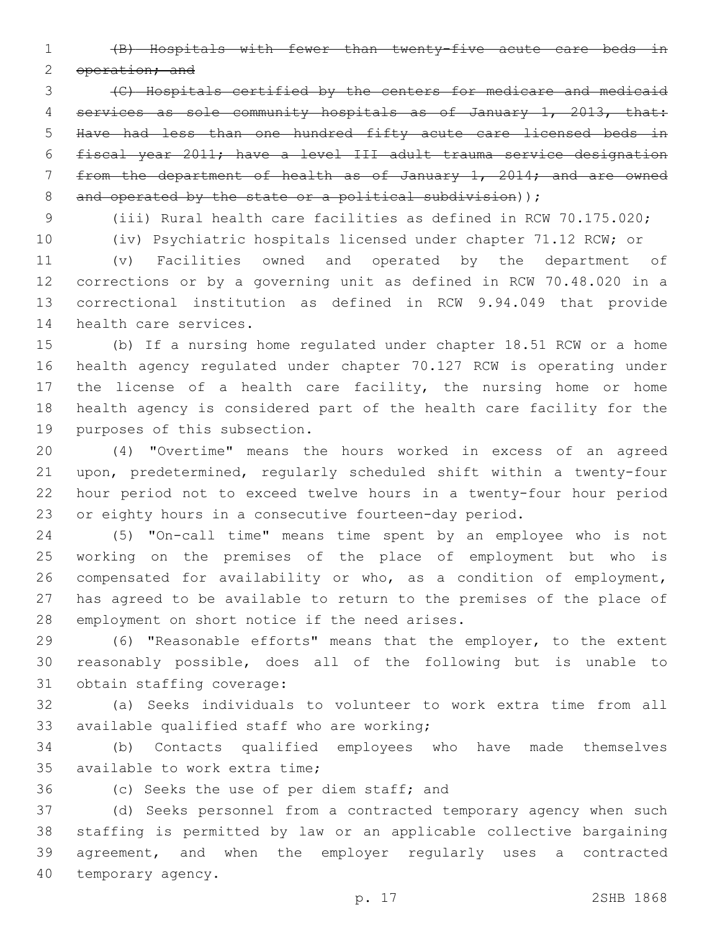(B) Hospitals with fewer than twenty-five acute care beds in

2 operation; and

 (C) Hospitals certified by the centers for medicare and medicaid services as sole community hospitals as of January 1, 2013, that: Have had less than one hundred fifty acute care licensed beds in fiscal year 2011; have a level III adult trauma service designation from the department of health as of January 1, 2014; and are owned 8 and operated by the state or a political subdivision));

(iii) Rural health care facilities as defined in RCW 70.175.020;

 (iv) Psychiatric hospitals licensed under chapter 71.12 RCW; or (v) Facilities owned and operated by the department of corrections or by a governing unit as defined in RCW 70.48.020 in a correctional institution as defined in RCW 9.94.049 that provide 14 health care services.

 (b) If a nursing home regulated under chapter 18.51 RCW or a home health agency regulated under chapter 70.127 RCW is operating under the license of a health care facility, the nursing home or home health agency is considered part of the health care facility for the 19 purposes of this subsection.

 (4) "Overtime" means the hours worked in excess of an agreed upon, predetermined, regularly scheduled shift within a twenty-four hour period not to exceed twelve hours in a twenty-four hour period or eighty hours in a consecutive fourteen-day period.

 (5) "On-call time" means time spent by an employee who is not working on the premises of the place of employment but who is compensated for availability or who, as a condition of employment, has agreed to be available to return to the premises of the place of 28 employment on short notice if the need arises.

 (6) "Reasonable efforts" means that the employer, to the extent reasonably possible, does all of the following but is unable to 31 obtain staffing coverage:

 (a) Seeks individuals to volunteer to work extra time from all 33 available qualified staff who are working;

 (b) Contacts qualified employees who have made themselves 35 available to work extra time:

36 (c) Seeks the use of per diem staff; and

 (d) Seeks personnel from a contracted temporary agency when such staffing is permitted by law or an applicable collective bargaining agreement, and when the employer regularly uses a contracted 40 temporary agency.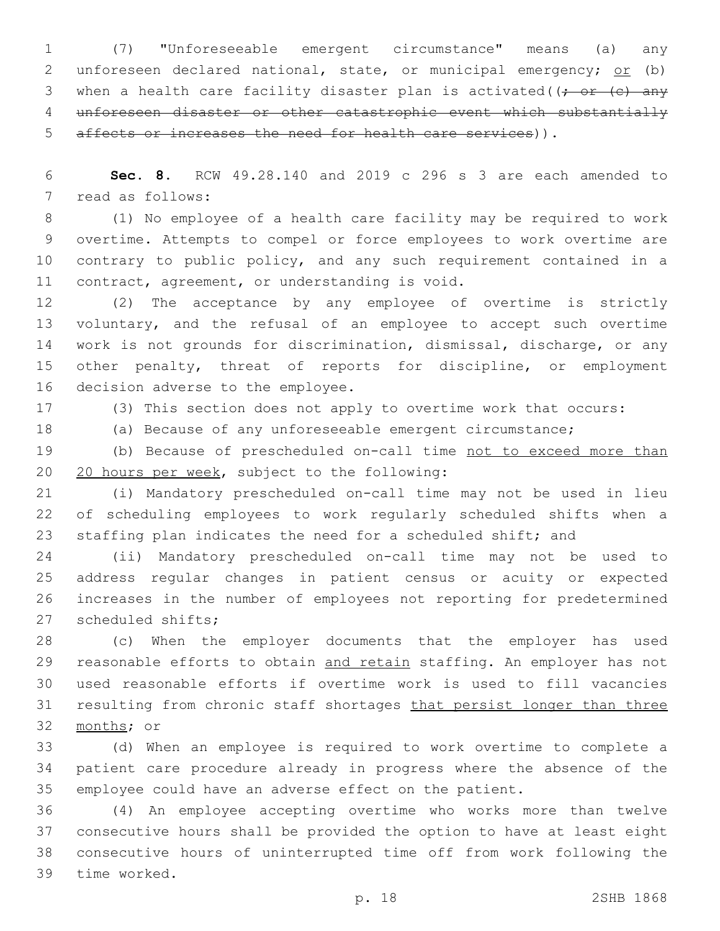(7) "Unforeseeable emergent circumstance" means (a) any 2 unforeseen declared national, state, or municipal emergency; or (b) 3 when a health care facility disaster plan is activated( $\left(\frac{1}{r} \text{ or } (-\epsilon) \right)$  unforeseen disaster or other catastrophic event which substantially affects or increases the need for health care services)).

 **Sec. 8.** RCW 49.28.140 and 2019 c 296 s 3 are each amended to 7 read as follows:

 (1) No employee of a health care facility may be required to work overtime. Attempts to compel or force employees to work overtime are contrary to public policy, and any such requirement contained in a 11 contract, agreement, or understanding is void.

 (2) The acceptance by any employee of overtime is strictly voluntary, and the refusal of an employee to accept such overtime work is not grounds for discrimination, dismissal, discharge, or any other penalty, threat of reports for discipline, or employment 16 decision adverse to the employee.

(3) This section does not apply to overtime work that occurs:

(a) Because of any unforeseeable emergent circumstance;

 (b) Because of prescheduled on-call time not to exceed more than 20 20 hours per week, subject to the following:

 (i) Mandatory prescheduled on-call time may not be used in lieu of scheduling employees to work regularly scheduled shifts when a staffing plan indicates the need for a scheduled shift; and

 (ii) Mandatory prescheduled on-call time may not be used to address regular changes in patient census or acuity or expected increases in the number of employees not reporting for predetermined 27 scheduled shifts;

 (c) When the employer documents that the employer has used 29 reasonable efforts to obtain and retain staffing. An employer has not used reasonable efforts if overtime work is used to fill vacancies 31 resulting from chronic staff shortages that persist longer than three 32 months; or

 (d) When an employee is required to work overtime to complete a patient care procedure already in progress where the absence of the employee could have an adverse effect on the patient.

 (4) An employee accepting overtime who works more than twelve consecutive hours shall be provided the option to have at least eight consecutive hours of uninterrupted time off from work following the 39 time worked.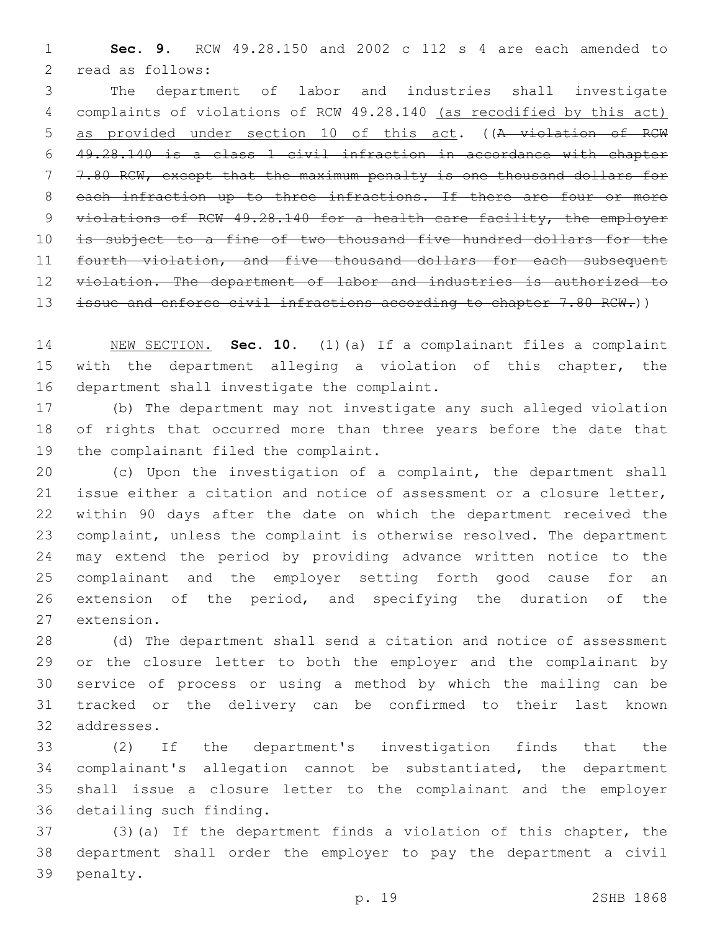**Sec. 9.** RCW 49.28.150 and 2002 c 112 s 4 are each amended to 2 read as follows:

 The department of labor and industries shall investigate complaints of violations of RCW 49.28.140 (as recodified by this act) as provided under section 10 of this act. ((A violation of RCW 49.28.140 is a class 1 civil infraction in accordance with chapter 7.80 RCW, except that the maximum penalty is one thousand dollars for 8 each infraction up to three infractions. If there are four or more violations of RCW 49.28.140 for a health care facility, the employer is subject to a fine of two thousand five hundred dollars for the 11 fourth violation, and five thousand dollars for each subsequent 12 violation. The department of labor and industries is authorized to 13 issue and enforce civil infractions according to chapter 7.80 RCW.))

 NEW SECTION. **Sec. 10.** (1)(a) If a complainant files a complaint with the department alleging a violation of this chapter, the department shall investigate the complaint.

 (b) The department may not investigate any such alleged violation of rights that occurred more than three years before the date that 19 the complainant filed the complaint.

 (c) Upon the investigation of a complaint, the department shall issue either a citation and notice of assessment or a closure letter, within 90 days after the date on which the department received the complaint, unless the complaint is otherwise resolved. The department may extend the period by providing advance written notice to the complainant and the employer setting forth good cause for an extension of the period, and specifying the duration of the 27 extension.

 (d) The department shall send a citation and notice of assessment or the closure letter to both the employer and the complainant by service of process or using a method by which the mailing can be tracked or the delivery can be confirmed to their last known 32 addresses.

 (2) If the department's investigation finds that the complainant's allegation cannot be substantiated, the department shall issue a closure letter to the complainant and the employer 36 detailing such finding.

 (3)(a) If the department finds a violation of this chapter, the department shall order the employer to pay the department a civil 39 penalty.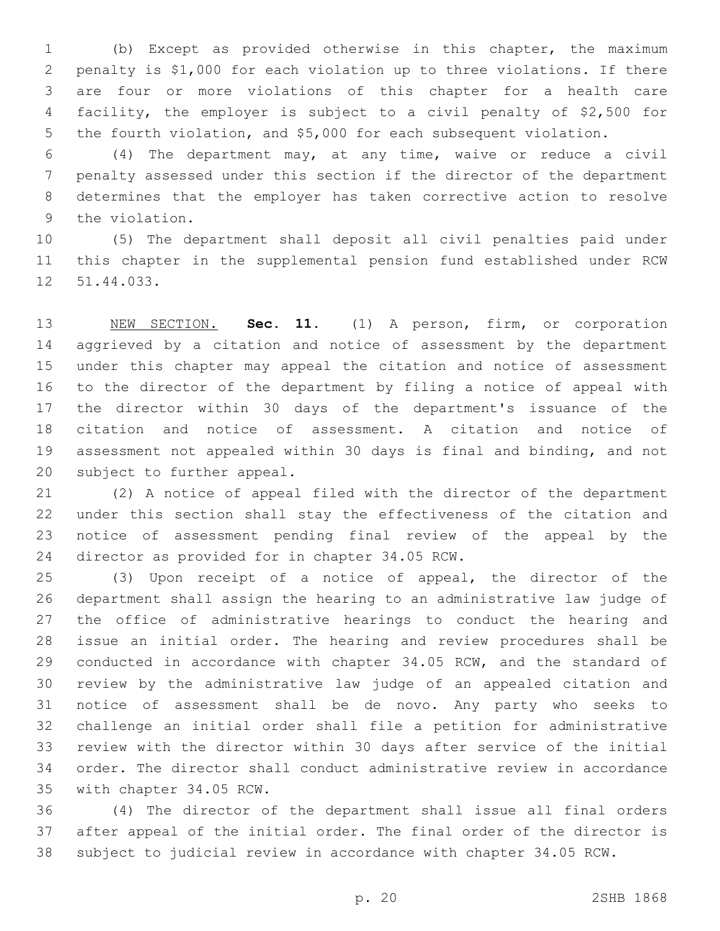(b) Except as provided otherwise in this chapter, the maximum penalty is \$1,000 for each violation up to three violations. If there are four or more violations of this chapter for a health care facility, the employer is subject to a civil penalty of \$2,500 for the fourth violation, and \$5,000 for each subsequent violation.

 (4) The department may, at any time, waive or reduce a civil penalty assessed under this section if the director of the department determines that the employer has taken corrective action to resolve 9 the violation.

 (5) The department shall deposit all civil penalties paid under this chapter in the supplemental pension fund established under RCW 12 51.44.033.

 NEW SECTION. **Sec. 11.** (1) A person, firm, or corporation aggrieved by a citation and notice of assessment by the department under this chapter may appeal the citation and notice of assessment to the director of the department by filing a notice of appeal with the director within 30 days of the department's issuance of the citation and notice of assessment. A citation and notice of assessment not appealed within 30 days is final and binding, and not subject to further appeal.

 (2) A notice of appeal filed with the director of the department under this section shall stay the effectiveness of the citation and notice of assessment pending final review of the appeal by the 24 director as provided for in chapter 34.05 RCW.

 (3) Upon receipt of a notice of appeal, the director of the department shall assign the hearing to an administrative law judge of the office of administrative hearings to conduct the hearing and issue an initial order. The hearing and review procedures shall be conducted in accordance with chapter 34.05 RCW, and the standard of review by the administrative law judge of an appealed citation and notice of assessment shall be de novo. Any party who seeks to challenge an initial order shall file a petition for administrative review with the director within 30 days after service of the initial order. The director shall conduct administrative review in accordance 35 with chapter 34.05 RCW.

 (4) The director of the department shall issue all final orders after appeal of the initial order. The final order of the director is subject to judicial review in accordance with chapter 34.05 RCW.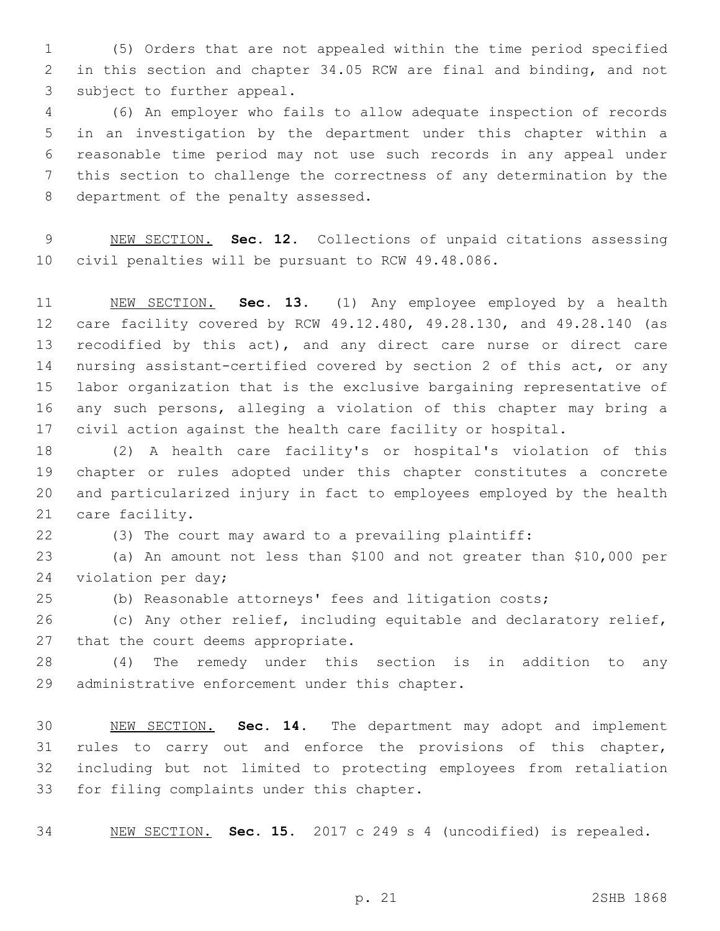(5) Orders that are not appealed within the time period specified in this section and chapter 34.05 RCW are final and binding, and not 3 subject to further appeal.

 (6) An employer who fails to allow adequate inspection of records in an investigation by the department under this chapter within a reasonable time period may not use such records in any appeal under this section to challenge the correctness of any determination by the 8 department of the penalty assessed.

 NEW SECTION. **Sec. 12.** Collections of unpaid citations assessing civil penalties will be pursuant to RCW 49.48.086.

 NEW SECTION. **Sec. 13.** (1) Any employee employed by a health care facility covered by RCW 49.12.480, 49.28.130, and 49.28.140 (as 13 recodified by this act), and any direct care nurse or direct care nursing assistant-certified covered by section 2 of this act, or any labor organization that is the exclusive bargaining representative of any such persons, alleging a violation of this chapter may bring a civil action against the health care facility or hospital.

 (2) A health care facility's or hospital's violation of this chapter or rules adopted under this chapter constitutes a concrete and particularized injury in fact to employees employed by the health 21 care facility.

(3) The court may award to a prevailing plaintiff:

 (a) An amount not less than \$100 and not greater than \$10,000 per 24 violation per day;

(b) Reasonable attorneys' fees and litigation costs;

 (c) Any other relief, including equitable and declaratory relief, 27 that the court deems appropriate.

 (4) The remedy under this section is in addition to any 29 administrative enforcement under this chapter.

 NEW SECTION. **Sec. 14.** The department may adopt and implement rules to carry out and enforce the provisions of this chapter, including but not limited to protecting employees from retaliation for filing complaints under this chapter.

NEW SECTION. **Sec. 15.** 2017 c 249 s 4 (uncodified) is repealed.